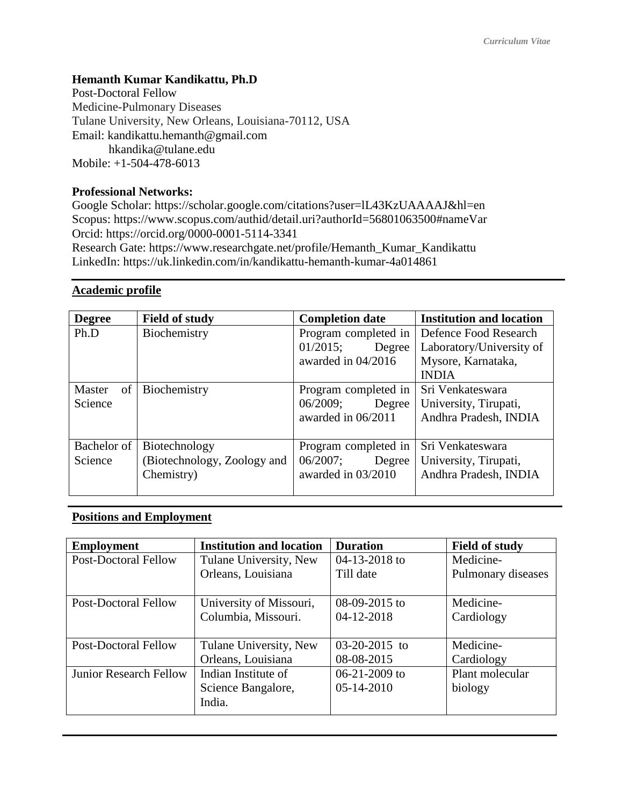# **Hemanth Kumar Kandikattu, Ph.D**

Post-Doctoral Fellow Medicine-Pulmonary Diseases Tulane University, New Orleans, Louisiana-70112, USA Email: kandikattu.hemanth@gmail.com hkandika@tulane.edu Mobile: +1-504-478-6013

## **Professional Networks:**

Google Scholar: https://scholar.google.com/citations?user=lL43KzUAAAAJ&hl=en Scopus: https://www.scopus.com/authid/detail.uri?authorId=56801063500#nameVar Orcid: https://orcid.org/0000-0001-5114-3341 Research Gate: https://www.researchgate.net/profile/Hemanth\_Kumar\_Kandikattu LinkedIn: https://uk.linkedin.com/in/kandikattu-hemanth-kumar-4a014861

## **Academic profile**

| <b>Degree</b> | <b>Field of study</b>       | <b>Completion date</b> | <b>Institution and location</b> |
|---------------|-----------------------------|------------------------|---------------------------------|
| Ph.D          | Biochemistry                | Program completed in   | Defence Food Research           |
|               |                             | 01/2015;<br>Degree     | Laboratory/University of        |
|               |                             | awarded in 04/2016     | Mysore, Karnataka,              |
|               |                             |                        | <b>INDIA</b>                    |
| of<br>Master  | Biochemistry                | Program completed in   | Sri Venkateswara                |
| Science       |                             | 06/2009;<br>Degree     | University, Tirupati,           |
|               |                             | awarded in 06/2011     | Andhra Pradesh, INDIA           |
|               |                             |                        |                                 |
| Bachelor of   | Biotechnology               | Program completed in   | Sri Venkateswara                |
| Science       | (Biotechnology, Zoology and | 06/2007;<br>Degree     | University, Tirupati,           |
|               | Chemistry)                  | awarded in 03/2010     | Andhra Pradesh, INDIA           |
|               |                             |                        |                                 |

# **Positions and Employment**

| <b>Employment</b>             | <b>Institution and location</b> | <b>Duration</b>     | <b>Field of study</b> |
|-------------------------------|---------------------------------|---------------------|-----------------------|
| <b>Post-Doctoral Fellow</b>   | Tulane University, New          | $04 - 13 - 2018$ to | Medicine-             |
|                               | Orleans, Louisiana              | Till date           | Pulmonary diseases    |
|                               |                                 |                     |                       |
| <b>Post-Doctoral Fellow</b>   | University of Missouri,         | $08-09-2015$ to     | Medicine-             |
|                               | Columbia, Missouri.             | 04-12-2018          | Cardiology            |
|                               |                                 |                     |                       |
| <b>Post-Doctoral Fellow</b>   | Tulane University, New          | $03-20-2015$ to     | Medicine-             |
|                               | Orleans, Louisiana              | 08-08-2015          | Cardiology            |
| <b>Junior Research Fellow</b> | Indian Institute of             | $06 - 21 - 2009$ to | Plant molecular       |
|                               | Science Bangalore,              | $05 - 14 - 2010$    | biology               |
|                               | India.                          |                     |                       |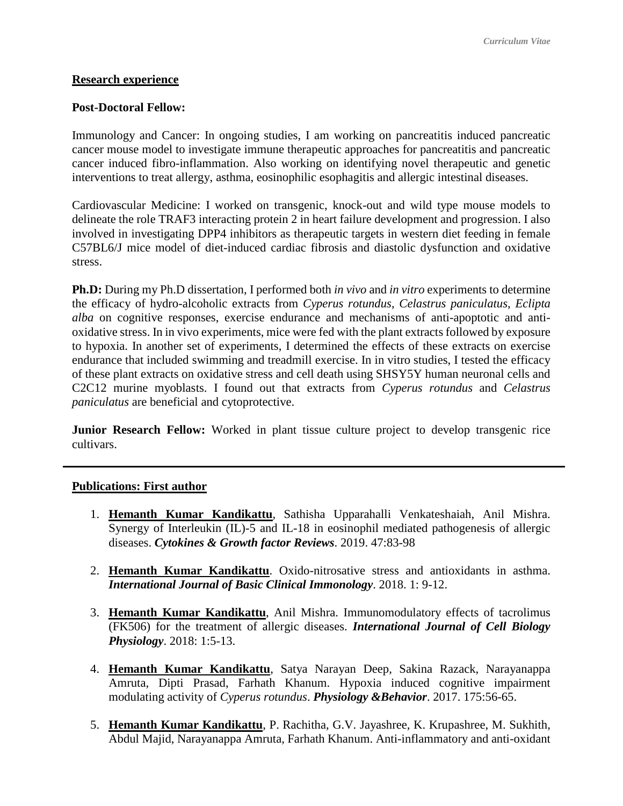## **Research experience**

### **Post-Doctoral Fellow:**

Immunology and Cancer: In ongoing studies, I am working on pancreatitis induced pancreatic cancer mouse model to investigate immune therapeutic approaches for pancreatitis and pancreatic cancer induced fibro-inflammation. Also working on identifying novel therapeutic and genetic interventions to treat allergy, asthma, eosinophilic esophagitis and allergic intestinal diseases.

Cardiovascular Medicine: I worked on transgenic, knock-out and wild type mouse models to delineate the role TRAF3 interacting protein 2 in heart failure development and progression. I also involved in investigating DPP4 inhibitors as therapeutic targets in western diet feeding in female C57BL6/J mice model of diet-induced cardiac fibrosis and diastolic dysfunction and oxidative stress.

**Ph.D:** During my Ph.D dissertation, I performed both *in vivo* and *in vitro* experiments to determine the efficacy of hydro-alcoholic extracts from *Cyperus rotundus*, *Celastrus paniculatus*, *Eclipta alba* on cognitive responses, exercise endurance and mechanisms of anti-apoptotic and antioxidative stress. In in vivo experiments, mice were fed with the plant extracts followed by exposure to hypoxia. In another set of experiments, I determined the effects of these extracts on exercise endurance that included swimming and treadmill exercise. In in vitro studies, I tested the efficacy of these plant extracts on oxidative stress and cell death using SHSY5Y human neuronal cells and C2C12 murine myoblasts. I found out that extracts from *Cyperus rotundus* and *Celastrus paniculatus* are beneficial and cytoprotective.

**Junior Research Fellow:** Worked in plant tissue culture project to develop transgenic rice cultivars.

## **Publications: First author**

- 1. **Hemanth Kumar Kandikattu**, Sathisha Upparahalli Venkateshaiah, Anil Mishra. Synergy of Interleukin (IL)-5 and IL-18 in eosinophil mediated pathogenesis of allergic diseases. *Cytokines & Growth factor Reviews*. 2019. 47:83-98
- 2. **Hemanth Kumar Kandikattu**. Oxido-nitrosative stress and antioxidants in asthma. *International Journal of Basic Clinical Immonology*. 2018. 1: 9-12.
- 3. **Hemanth Kumar Kandikattu**, Anil Mishra. Immunomodulatory effects of tacrolimus (FK506) for the treatment of allergic diseases. *International Journal of Cell Biology Physiology*. 2018: 1:5-13.
- 4. **Hemanth Kumar Kandikattu**, Satya Narayan Deep, Sakina Razack, Narayanappa Amruta, Dipti Prasad, Farhath Khanum. Hypoxia induced cognitive impairment modulating activity of *Cyperus rotundus*. *Physiology &Behavior*. 2017. 175:56-65.
- 5. **Hemanth Kumar Kandikattu**, P. Rachitha, G.V. Jayashree, K. Krupashree, M. Sukhith, Abdul Majid, Narayanappa Amruta, Farhath Khanum. Anti-inflammatory and anti-oxidant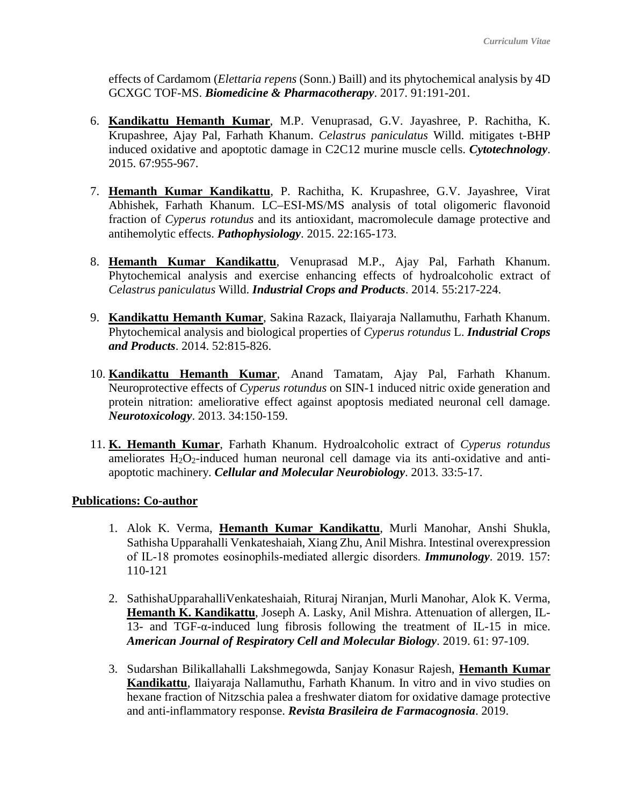effects of Cardamom (*Elettaria repens* (Sonn.) Baill) and its phytochemical analysis by 4D GCXGC TOF-MS. *Biomedicine & Pharmacotherapy*. 2017. 91:191-201.

- 6. **Kandikattu Hemanth Kumar**, M.P. Venuprasad, G.V. Jayashree, P. Rachitha, K. Krupashree, Ajay Pal, Farhath Khanum. *Celastrus paniculatus* Willd. mitigates t-BHP induced oxidative and apoptotic damage in C2C12 murine muscle cells. *Cytotechnology*. 2015. 67:955-967.
- 7. **Hemanth Kumar Kandikattu**, P. Rachitha, K. Krupashree, G.V. Jayashree, Virat Abhishek, Farhath Khanum. LC–ESI-MS/MS analysis of total oligomeric flavonoid fraction of *Cyperus rotundus* and its antioxidant, macromolecule damage protective and antihemolytic effects. *Pathophysiology*. 2015. 22:165-173.
- 8. **Hemanth Kumar Kandikattu**, Venuprasad M.P., Ajay Pal, Farhath Khanum. Phytochemical analysis and exercise enhancing effects of hydroalcoholic extract of *Celastrus paniculatus* Willd. *Industrial Crops and Products*. 2014. 55:217-224.
- 9. **Kandikattu Hemanth Kumar**, Sakina Razack, Ilaiyaraja Nallamuthu, Farhath Khanum. Phytochemical analysis and biological properties of *Cyperus rotundus* L. *Industrial Crops and Products*. 2014. 52:815-826.
- 10. **Kandikattu Hemanth Kumar**, Anand Tamatam, Ajay Pal, Farhath Khanum. Neuroprotective effects of *Cyperus rotundus* on SIN-1 induced nitric oxide generation and protein nitration: ameliorative effect against apoptosis mediated neuronal cell damage. *Neurotoxicology*. 2013. 34:150-159.
- 11. **K. Hemanth Kumar**, Farhath Khanum. Hydroalcoholic extract of *Cyperus rotundus* ameliorates  $H_2O_2$ -induced human neuronal cell damage via its anti-oxidative and antiapoptotic machinery. *Cellular and Molecular Neurobiology*. 2013. 33:5-17.

## **Publications: Co-author**

- 1. Alok K. Verma, **Hemanth Kumar Kandikattu**, Murli Manohar, Anshi Shukla, Sathisha Upparahalli Venkateshaiah, Xiang Zhu, Anil Mishra. Intestinal overexpression of IL‐18 promotes eosinophils‐mediated allergic disorders. *Immunology*. 2019. 157: 110-121
- 2. SathishaUpparahalliVenkateshaiah, Rituraj Niranjan, Murli Manohar, Alok K. Verma, **Hemanth K. Kandikattu**, Joseph A. Lasky, Anil Mishra. Attenuation of allergen, IL-13- and TGF-α-induced lung fibrosis following the treatment of IL-15 in mice. *American Journal of Respiratory Cell and Molecular Biology*. 2019. 61: 97-109.
- 3. Sudarshan Bilikallahalli Lakshmegowda, Sanjay Konasur Rajesh, **Hemanth Kumar Kandikattu**, Ilaiyaraja Nallamuthu, Farhath Khanum. In vitro and in vivo studies on hexane fraction of Nitzschia palea a freshwater diatom for oxidative damage protective and anti-inflammatory response. *Revista Brasileira de Farmacognosia*. 2019.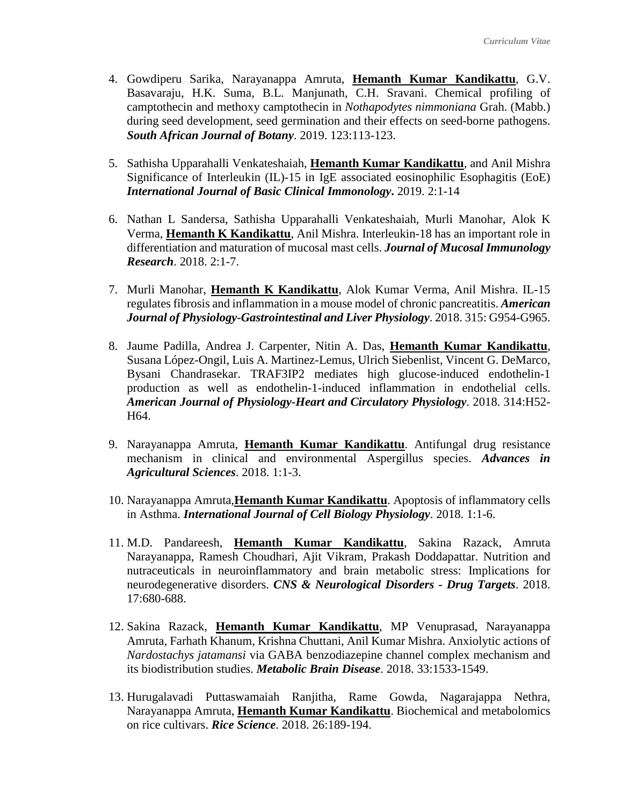- 4. Gowdiperu Sarika, Narayanappa Amruta, **Hemanth Kumar Kandikattu**, G.V. Basavaraju, H.K. Suma, B.L. Manjunath, C.H. Sravani. Chemical profiling of camptothecin and methoxy camptothecin in *Nothapodytes nimmoniana* Grah. (Mabb.) during seed development, seed germination and their effects on seed-borne pathogens. *South African Journal of Botany*. 2019. 123:113-123.
- 5. Sathisha Upparahalli Venkateshaiah, **Hemanth Kumar Kandikattu**, and Anil Mishra Significance of Interleukin (IL)-15 in IgE associated eosinophilic Esophagitis (EoE) *International Journal of Basic Clinical Immonology***.** 2019. 2:1-14
- 6. Nathan L Sandersa, Sathisha Upparahalli Venkateshaiah, Murli Manohar, Alok K Verma, **Hemanth K Kandikattu**, Anil Mishra. Interleukin-18 has an important role in differentiation and maturation of mucosal mast cells. *Journal of Mucosal Immunology Research*. 2018. 2:1-7.
- 7. Murli Manohar, **Hemanth K Kandikattu**, Alok Kumar Verma, Anil Mishra. IL-15 regulates fibrosis and inflammation in a mouse model of chronic pancreatitis. *American Journal of Physiology-Gastrointestinal and Liver Physiology*. 2018. 315: G954-G965.
- 8. Jaume Padilla, Andrea J. Carpenter, Nitin A. Das, **Hemanth Kumar Kandikattu**, Susana López-Ongil, Luis A. Martinez-Lemus, Ulrich Siebenlist, Vincent G. DeMarco, Bysani Chandrasekar. TRAF3IP2 mediates high glucose-induced endothelin-1 production as well as endothelin-1-induced inflammation in endothelial cells. *American Journal of Physiology-Heart and Circulatory Physiology*. 2018. 314:H52- H64.
- 9. Narayanappa Amruta, **Hemanth Kumar Kandikattu**. Antifungal drug resistance mechanism in clinical and environmental Aspergillus species. *Advances in Agricultural Sciences*. 2018. 1:1-3.
- 10. Narayanappa Amruta,**Hemanth Kumar Kandikattu**. Apoptosis of inflammatory cells in Asthma. *International Journal of Cell Biology Physiology*. 2018. 1:1-6.
- 11. M.D. Pandareesh, **Hemanth Kumar Kandikattu**, Sakina Razack, Amruta Narayanappa, Ramesh Choudhari, Ajit Vikram, Prakash Doddapattar. Nutrition and nutraceuticals in neuroinflammatory and brain metabolic stress: Implications for neurodegenerative disorders. *CNS & Neurological Disorders - Drug Targets*. 2018. 17:680-688.
- 12. Sakina Razack, **Hemanth Kumar Kandikattu**, MP Venuprasad, Narayanappa Amruta, Farhath Khanum, Krishna Chuttani, Anil Kumar Mishra. Anxiolytic actions of *Nardostachys jatamansi* via GABA benzodiazepine channel complex mechanism and its biodistribution studies. *Metabolic Brain Disease*. 2018. 33:1533-1549.
- 13. Hurugalavadi Puttaswamaiah Ranjitha, Rame Gowda, Nagarajappa Nethra, Narayanappa Amruta, **Hemanth Kumar Kandikattu**. Biochemical and metabolomics on rice cultivars. *Rice Science*. 2018. 26:189-194.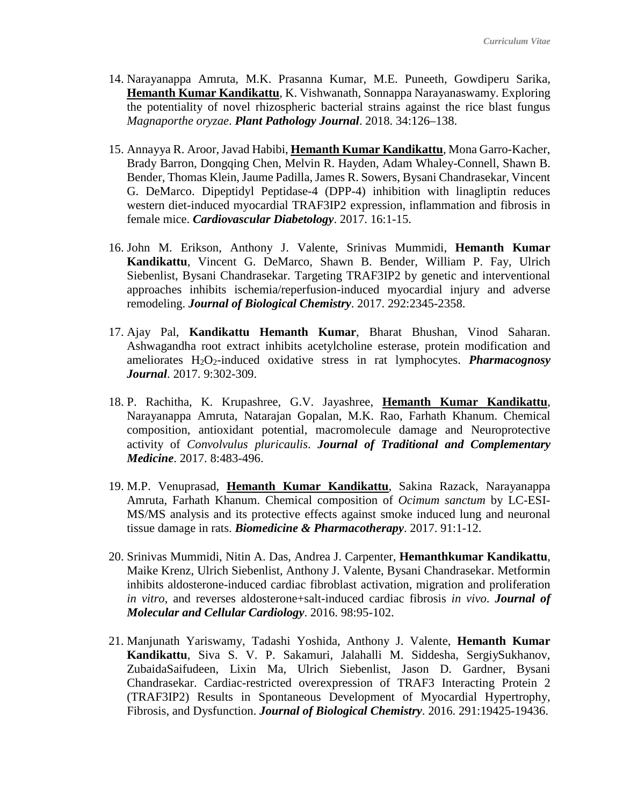- 14. Narayanappa Amruta, M.K. Prasanna Kumar, M.E. Puneeth, Gowdiperu Sarika, **Hemanth Kumar Kandikattu**, K. Vishwanath, Sonnappa Narayanaswamy. Exploring the potentiality of novel rhizospheric bacterial strains against the rice blast fungus *Magnaporthe oryzae*. *Plant Pathology Journal*. 2018. 34:126–138.
- 15. Annayya R. Aroor, Javad Habibi, **Hemanth Kumar Kandikattu**, Mona Garro-Kacher, Brady Barron, Dongqing Chen, Melvin R. Hayden, Adam Whaley-Connell, Shawn B. Bender, Thomas Klein, Jaume Padilla, James R. Sowers, Bysani Chandrasekar, Vincent G. DeMarco. Dipeptidyl Peptidase-4 (DPP-4) inhibition with linagliptin reduces western diet-induced myocardial TRAF3IP2 expression, inflammation and fibrosis in female mice. *Cardiovascular Diabetology*. 2017. 16:1-15.
- 16. John M. Erikson, Anthony J. Valente, Srinivas Mummidi, **Hemanth Kumar Kandikattu**, Vincent G. DeMarco, Shawn B. Bender, William P. Fay, Ulrich Siebenlist, Bysani Chandrasekar. Targeting TRAF3IP2 by genetic and interventional approaches inhibits ischemia/reperfusion-induced myocardial injury and adverse remodeling. *Journal of Biological Chemistry*. 2017. 292:2345-2358.
- 17. Ajay Pal, **Kandikattu Hemanth Kumar**, Bharat Bhushan, Vinod Saharan. Ashwagandha root extract inhibits acetylcholine esterase, protein modification and ameliorates H<sub>2</sub>O<sub>2</sub>-induced oxidative stress in rat lymphocytes. *Pharmacognosy Journal*. 2017. 9:302-309.
- 18. P. Rachitha, K. Krupashree, G.V. Jayashree, **Hemanth Kumar Kandikattu**, Narayanappa Amruta, Natarajan Gopalan, M.K. Rao, Farhath Khanum. Chemical composition, antioxidant potential, macromolecule damage and Neuroprotective activity of *Convolvulus pluricaulis*. *Journal of Traditional and Complementary Medicine*. 2017. 8:483-496.
- 19. M.P. Venuprasad, **Hemanth Kumar Kandikattu**, Sakina Razack, Narayanappa Amruta, Farhath Khanum. Chemical composition of *Ocimum sanctum* by LC-ESI-MS/MS analysis and its protective effects against smoke induced lung and neuronal tissue damage in rats. *Biomedicine & Pharmacotherapy*. 2017. 91:1-12.
- 20. Srinivas Mummidi, Nitin A. Das, Andrea J. Carpenter, **Hemanthkumar Kandikattu**, Maike Krenz, Ulrich Siebenlist, Anthony J. Valente, Bysani Chandrasekar. Metformin inhibits aldosterone-induced cardiac fibroblast activation, migration and proliferation *in vitro*, and reverses aldosterone+salt-induced cardiac fibrosis *in vivo*. *Journal of Molecular and Cellular Cardiology*. 2016. 98:95-102.
- 21. Manjunath Yariswamy, Tadashi Yoshida, Anthony J. Valente, **Hemanth Kumar Kandikattu**, Siva S. V. P. Sakamuri, Jalahalli M. Siddesha, SergiySukhanov, ZubaidaSaifudeen, Lixin Ma, Ulrich Siebenlist, Jason D. Gardner, Bysani Chandrasekar. Cardiac-restricted overexpression of TRAF3 Interacting Protein 2 (TRAF3IP2) Results in Spontaneous Development of Myocardial Hypertrophy, Fibrosis, and Dysfunction. *Journal of Biological Chemistry*. 2016. 291:19425-19436.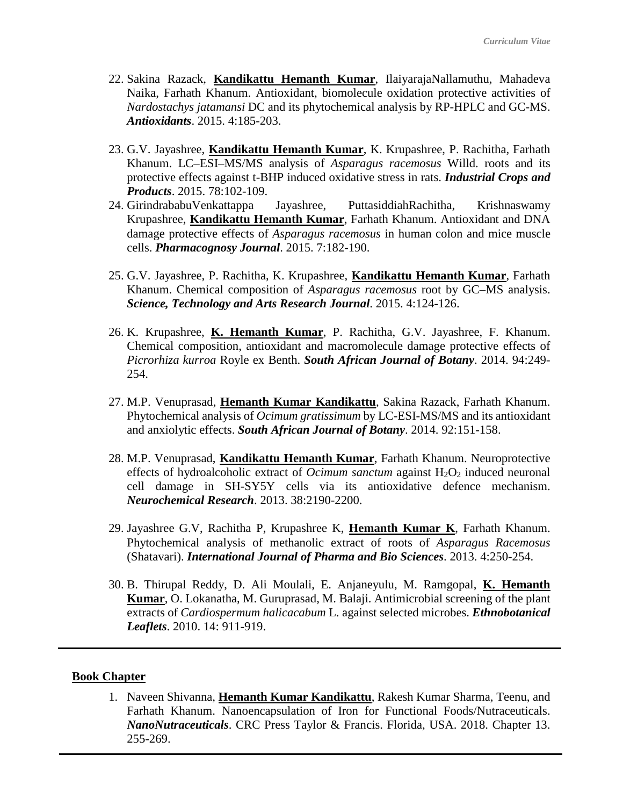- 22. Sakina Razack, **Kandikattu Hemanth Kumar**, IlaiyarajaNallamuthu, Mahadeva Naika, Farhath Khanum. Antioxidant, biomolecule oxidation protective activities of *Nardostachys jatamansi* DC and its phytochemical analysis by RP-HPLC and GC-MS. *Antioxidants*. 2015. 4:185-203.
- 23. G.V. Jayashree, **Kandikattu Hemanth Kumar**, K. Krupashree, P. Rachitha, Farhath Khanum. LC–ESI–MS/MS analysis of *Asparagus racemosus* Willd. roots and its protective effects against t-BHP induced oxidative stress in rats. *Industrial Crops and Products*. 2015. 78:102-109.
- 24. GirindrababuVenkattappa Jayashree, PuttasiddiahRachitha, Krishnaswamy Krupashree, **Kandikattu Hemanth Kumar**, Farhath Khanum. Antioxidant and DNA damage protective effects of *Asparagus racemosus* in human colon and mice muscle cells. *Pharmacognosy Journal*. 2015. 7:182-190.
- 25. G.V. Jayashree, P. Rachitha, K. Krupashree, **Kandikattu Hemanth Kumar**, Farhath Khanum. Chemical composition of *Asparagus racemosus* root by GC–MS analysis. *Science, Technology and Arts Research Journal*. 2015. 4:124-126.
- 26. K. Krupashree, **K. Hemanth Kumar**, P. Rachitha, G.V. Jayashree, F. Khanum. Chemical composition, antioxidant and macromolecule damage protective effects of *Picrorhiza kurroa* Royle ex Benth. *South African Journal of Botany*. 2014. 94:249- 254.
- 27. M.P. Venuprasad, **Hemanth Kumar Kandikattu**, Sakina Razack, Farhath Khanum. Phytochemical analysis of *Ocimum gratissimum* by LC-ESI-MS/MS and its antioxidant and anxiolytic effects. *South African Journal of Botany*. 2014. 92:151-158.
- 28. M.P. Venuprasad, **Kandikattu Hemanth Kumar**, Farhath Khanum. Neuroprotective effects of hydroalcoholic extract of *Ocimum sanctum* against  $H_2O_2$  induced neuronal cell damage in SH-SY5Y cells via its antioxidative defence mechanism. *Neurochemical Research*. 2013. 38:2190-2200.
- 29. Jayashree G.V, Rachitha P, Krupashree K, **Hemanth Kumar K**, Farhath Khanum. Phytochemical analysis of methanolic extract of roots of *Asparagus Racemosus* (Shatavari). *International Journal of Pharma and Bio Sciences*. 2013. 4:250-254.
- 30. B. Thirupal Reddy, D. Ali Moulali, E. Anjaneyulu, M. Ramgopal, **K. Hemanth Kumar**, O. Lokanatha, M. Guruprasad, M. Balaji. Antimicrobial screening of the plant extracts of *Cardiospermum halicacabum* L. against selected microbes. *Ethnobotanical Leaflets*. 2010. 14: 911-919.

#### **Book Chapter**

1. Naveen Shivanna, **Hemanth Kumar Kandikattu**, Rakesh Kumar Sharma, Teenu, and Farhath Khanum. Nanoencapsulation of Iron for Functional Foods/Nutraceuticals. *NanoNutraceuticals*. CRC Press Taylor & Francis. Florida, USA. 2018. Chapter 13. 255-269.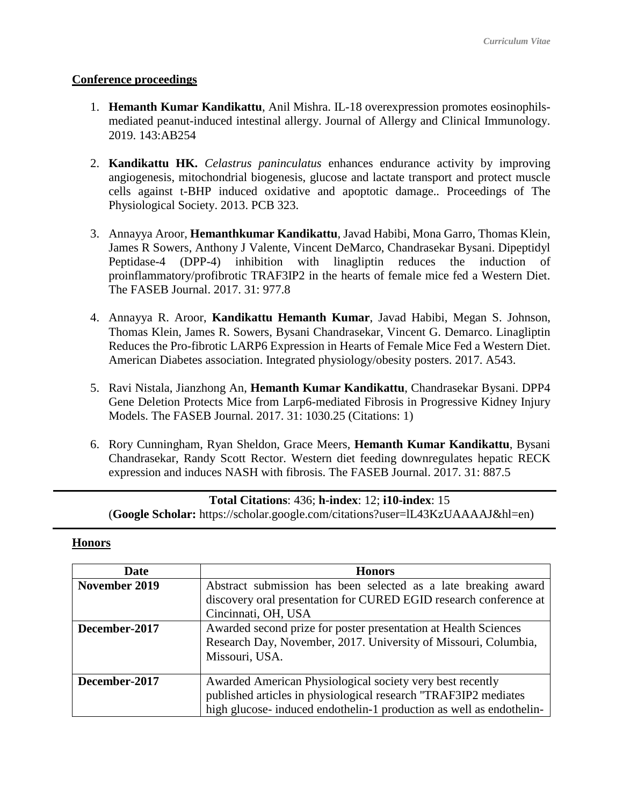### **Conference proceedings**

- 1. **Hemanth Kumar Kandikattu**, Anil Mishra. IL-18 overexpression promotes eosinophilsmediated peanut-induced intestinal allergy. Journal of Allergy and Clinical Immunology. 2019. 143:AB254
- 2. **Kandikattu HK.** *Celastrus paninculatus* enhances endurance activity by improving angiogenesis, mitochondrial biogenesis, glucose and lactate transport and protect muscle cells against t-BHP induced oxidative and apoptotic damage.. Proceedings of The Physiological Society. 2013. PCB 323.
- 3. Annayya Aroor, **Hemanthkumar Kandikattu**, Javad Habibi, Mona Garro, Thomas Klein, James R Sowers, Anthony J Valente, Vincent DeMarco, Chandrasekar Bysani. Dipeptidyl Peptidase-4 (DPP-4) inhibition with linagliptin reduces the induction of proinflammatory/profibrotic TRAF3IP2 in the hearts of female mice fed a Western Diet. The FASEB Journal. 2017. 31: 977.8
- 4. Annayya R. Aroor, **Kandikattu Hemanth Kumar**, Javad Habibi, Megan S. Johnson, Thomas Klein, James R. Sowers, Bysani Chandrasekar, Vincent G. Demarco. Linagliptin Reduces the Pro-fibrotic LARP6 Expression in Hearts of Female Mice Fed a Western Diet. American Diabetes association. Integrated physiology/obesity posters. 2017. A543.
- 5. Ravi Nistala, Jianzhong An, **Hemanth Kumar Kandikattu**, Chandrasekar Bysani. DPP4 Gene Deletion Protects Mice from Larp6-mediated Fibrosis in Progressive Kidney Injury Models. The FASEB Journal. 2017. 31: 1030.25 (Citations: 1)
- 6. Rory Cunningham, Ryan Sheldon, Grace Meers, **Hemanth Kumar Kandikattu**, Bysani Chandrasekar, Randy Scott Rector. Western diet feeding downregulates hepatic RECK expression and induces NASH with fibrosis. The FASEB Journal. 2017. 31: 887.5

| <b>Total Citations: 436; h-index: 12; i10-index: 15</b>                        |  |
|--------------------------------------------------------------------------------|--|
| (Google Scholar: https://scholar.google.com/citations?user=IL43KzUAAAAJ&hl=en) |  |

#### **Honors**

| <b>Date</b>   | <b>Honors</b>                                                        |  |
|---------------|----------------------------------------------------------------------|--|
| November 2019 | Abstract submission has been selected as a late breaking award       |  |
|               | discovery oral presentation for CURED EGID research conference at    |  |
|               | Cincinnati, OH, USA                                                  |  |
| December-2017 | Awarded second prize for poster presentation at Health Sciences      |  |
|               | Research Day, November, 2017. University of Missouri, Columbia,      |  |
|               | Missouri, USA.                                                       |  |
|               |                                                                      |  |
| December-2017 | Awarded American Physiological society very best recently            |  |
|               | published articles in physiological research "TRAF3IP2 mediates      |  |
|               | high glucose- induced endothelin-1 production as well as endothelin- |  |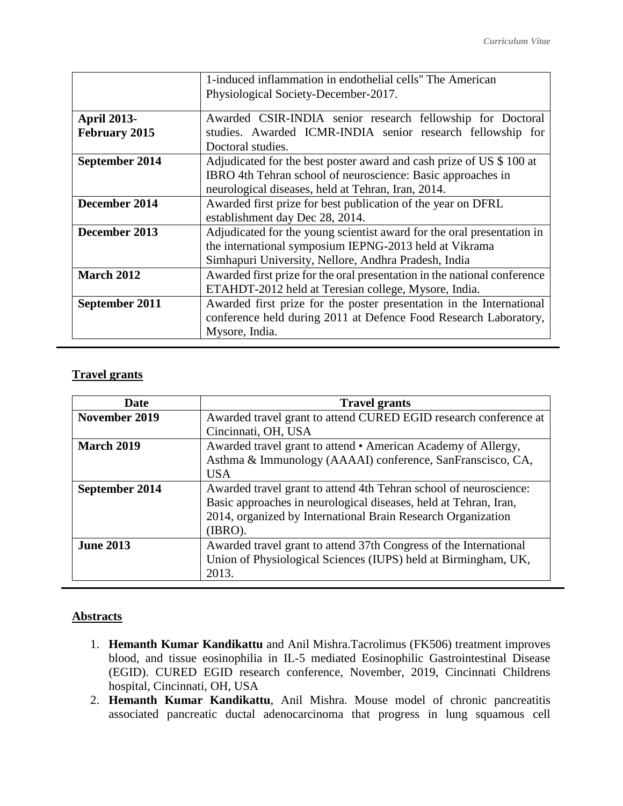|                    | 1-induced inflammation in endothelial cells" The American                |  |
|--------------------|--------------------------------------------------------------------------|--|
|                    | Physiological Society-December-2017.                                     |  |
| <b>April 2013-</b> | Awarded CSIR-INDIA senior research fellowship for Doctoral               |  |
| February 2015      | studies. Awarded ICMR-INDIA senior research fellowship for               |  |
|                    | Doctoral studies.                                                        |  |
| September 2014     | Adjudicated for the best poster award and cash prize of US \$100 at      |  |
|                    | IBRO 4th Tehran school of neuroscience: Basic approaches in              |  |
|                    | neurological diseases, held at Tehran, Iran, 2014.                       |  |
| December 2014      | Awarded first prize for best publication of the year on DFRL             |  |
|                    | establishment day Dec 28, 2014.                                          |  |
| December 2013      | Adjudicated for the young scientist award for the oral presentation in   |  |
|                    | the international symposium IEPNG-2013 held at Vikrama                   |  |
|                    | Simhapuri University, Nellore, Andhra Pradesh, India                     |  |
| <b>March 2012</b>  | Awarded first prize for the oral presentation in the national conference |  |
|                    | ETAHDT-2012 held at Teresian college, Mysore, India.                     |  |
| September 2011     | Awarded first prize for the poster presentation in the International     |  |
|                    | conference held during 2011 at Defence Food Research Laboratory,         |  |
|                    | Mysore, India.                                                           |  |

# **Travel grants**

| <b>Date</b>       | <b>Travel grants</b>                                              |  |
|-------------------|-------------------------------------------------------------------|--|
| November 2019     | Awarded travel grant to attend CURED EGID research conference at  |  |
|                   | Cincinnati, OH, USA                                               |  |
| <b>March 2019</b> | Awarded travel grant to attend • American Academy of Allergy,     |  |
|                   | Asthma & Immunology (AAAAI) conference, SanFranscisco, CA,        |  |
|                   | <b>USA</b>                                                        |  |
| September 2014    | Awarded travel grant to attend 4th Tehran school of neuroscience: |  |
|                   | Basic approaches in neurological diseases, held at Tehran, Iran,  |  |
|                   | 2014, organized by International Brain Research Organization      |  |
|                   | (IBRO).                                                           |  |
| <b>June 2013</b>  | Awarded travel grant to attend 37th Congress of the International |  |
|                   | Union of Physiological Sciences (IUPS) held at Birmingham, UK,    |  |
|                   | 2013.                                                             |  |

## **Abstracts**

- 1. **Hemanth Kumar Kandikattu** and Anil Mishra.Tacrolimus (FK506) treatment improves blood, and tissue eosinophilia in IL-5 mediated Eosinophilic Gastrointestinal Disease (EGID). CURED EGID research conference, November, 2019, Cincinnati Childrens hospital, Cincinnati, OH, USA
- 2. **Hemanth Kumar Kandikattu**, Anil Mishra. Mouse model of chronic pancreatitis associated pancreatic ductal adenocarcinoma that progress in lung squamous cell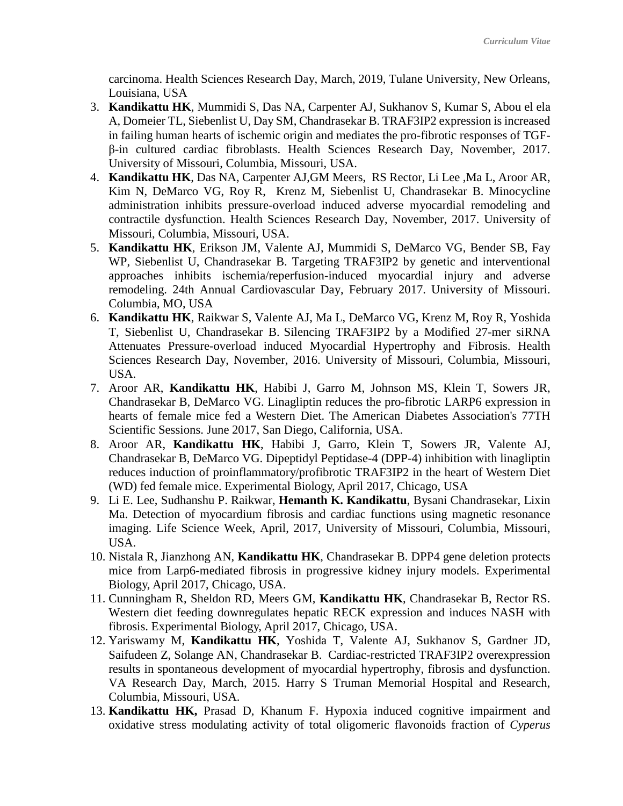carcinoma. Health Sciences Research Day, March, 2019, Tulane University, New Orleans, Louisiana, USA

- 3. **Kandikattu HK**, Mummidi S, Das NA, Carpenter AJ, Sukhanov S, Kumar S, Abou el ela A, Domeier TL, Siebenlist U, Day SM, Chandrasekar B. TRAF3IP2 expression is increased in failing human hearts of ischemic origin and mediates the pro-fibrotic responses of TGFβ-in cultured cardiac fibroblasts. Health Sciences Research Day, November, 2017. University of Missouri, Columbia, Missouri, USA.
- 4. **Kandikattu HK**, Das NA, Carpenter AJ,GM Meers, RS Rector, Li Lee ,Ma L, Aroor AR, Kim N, DeMarco VG, Roy R, Krenz M, Siebenlist U, Chandrasekar B. Minocycline administration inhibits pressure-overload induced adverse myocardial remodeling and contractile dysfunction. Health Sciences Research Day, November, 2017. University of Missouri, Columbia, Missouri, USA.
- 5. **Kandikattu HK**, Erikson JM, Valente AJ, Mummidi S, DeMarco VG, Bender SB, Fay WP, Siebenlist U, Chandrasekar B. Targeting TRAF3IP2 by genetic and interventional approaches inhibits ischemia/reperfusion-induced myocardial injury and adverse remodeling. 24th Annual Cardiovascular Day, February 2017. University of Missouri. Columbia, MO, USA
- 6. **Kandikattu HK**, Raikwar S, Valente AJ, Ma L, DeMarco VG, Krenz M, Roy R, Yoshida T, Siebenlist U, Chandrasekar B. Silencing TRAF3IP2 by a Modified 27-mer siRNA Attenuates Pressure-overload induced Myocardial Hypertrophy and Fibrosis. Health Sciences Research Day, November, 2016. University of Missouri, Columbia, Missouri, USA.
- 7. Aroor AR, **Kandikattu HK**, Habibi J, Garro M, Johnson MS, Klein T, Sowers JR, Chandrasekar B, DeMarco VG. Linagliptin reduces the pro-fibrotic LARP6 expression in hearts of female mice fed a Western Diet. The American Diabetes Association's 77TH Scientific Sessions. June 2017, San Diego, California, USA.
- 8. Aroor AR, **Kandikattu HK**, Habibi J, Garro, Klein T, Sowers JR, Valente AJ, Chandrasekar B, DeMarco VG. [Dipeptidyl Peptidase-4](http://en.wikipedia.org/wiki/Dipeptidyl_peptidase-4) (DPP-4) inhibition with linagliptin reduces induction of proinflammatory/profibrotic TRAF3IP2 in the heart of Western Diet (WD) fed female mice. Experimental Biology, April 2017, Chicago, USA
- 9. Li E. Lee, Sudhanshu P. Raikwar, **Hemanth K. Kandikattu**, Bysani Chandrasekar, Lixin Ma. Detection of myocardium fibrosis and cardiac functions using magnetic resonance imaging. Life Science Week, April, 2017, University of Missouri, Columbia, Missouri, USA.
- 10. Nistala R, Jianzhong AN, **Kandikattu HK**, Chandrasekar B. DPP4 gene deletion protects mice from Larp6-mediated fibrosis in progressive kidney injury models. Experimental Biology, April 2017, Chicago, USA.
- 11. Cunningham R, Sheldon RD, Meers GM, **Kandikattu HK**, Chandrasekar B, Rector RS. Western diet feeding downregulates hepatic RECK expression and induces NASH with fibrosis. Experimental Biology, April 2017, Chicago, USA.
- 12. Yariswamy M, **Kandikattu HK**, Yoshida T, Valente AJ, Sukhanov S, Gardner JD, Saifudeen Z, Solange AN, Chandrasekar B. Cardiac-restricted TRAF3IP2 overexpression results in spontaneous development of myocardial hypertrophy, fibrosis and dysfunction. VA Research Day, March, 2015. Harry S Truman Memorial Hospital and Research, Columbia, Missouri, USA.
- 13. **Kandikattu HK,** Prasad D, Khanum F. Hypoxia induced cognitive impairment and oxidative stress modulating activity of total oligomeric flavonoids fraction of *Cyperus*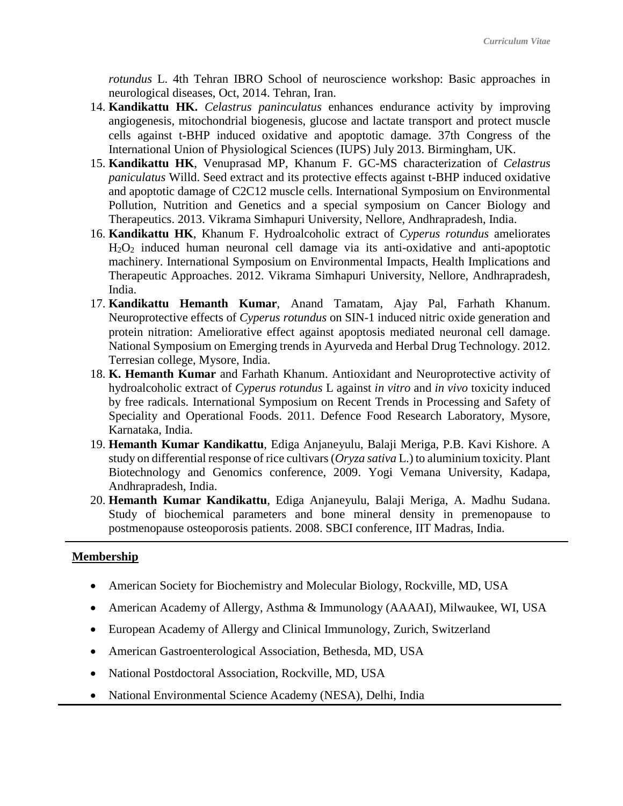*rotundus* L. 4th Tehran IBRO School of neuroscience workshop: Basic approaches in neurological diseases, Oct, 2014. Tehran, Iran.

- 14. **Kandikattu HK.** *Celastrus paninculatus* enhances endurance activity by improving angiogenesis, mitochondrial biogenesis, glucose and lactate transport and protect muscle cells against t-BHP induced oxidative and apoptotic damage. 37th Congress of the International Union of Physiological Sciences (IUPS) July 2013. Birmingham, UK.
- 15. **Kandikattu HK**, Venuprasad MP, Khanum F. GC-MS characterization of *Celastrus paniculatus* Willd. Seed extract and its protective effects against t-BHP induced oxidative and apoptotic damage of C2C12 muscle cells. International Symposium on Environmental Pollution, Nutrition and Genetics and a special symposium on Cancer Biology and Therapeutics. 2013. Vikrama Simhapuri University, Nellore, Andhrapradesh, India.
- 16. **Kandikattu HK**, Khanum F. Hydroalcoholic extract of *Cyperus rotundus* ameliorates H2O2 induced human neuronal cell damage via its anti-oxidative and anti-apoptotic machinery. International Symposium on Environmental Impacts, Health Implications and Therapeutic Approaches. 2012. Vikrama Simhapuri University, Nellore, Andhrapradesh, India.
- 17. **Kandikattu Hemanth Kumar**, Anand Tamatam, Ajay Pal, Farhath Khanum. Neuroprotective effects of *Cyperus rotundus* on SIN-1 induced nitric oxide generation and protein nitration: Ameliorative effect against apoptosis mediated neuronal cell damage. National Symposium on Emerging trends in Ayurveda and Herbal Drug Technology. 2012. Terresian college, Mysore, India.
- 18. **K. Hemanth Kumar** and Farhath Khanum. Antioxidant and Neuroprotective activity of hydroalcoholic extract of *Cyperus rotundus* L against *in vitro* and *in vivo* toxicity induced by free radicals. International Symposium on Recent Trends in Processing and Safety of Speciality and Operational Foods. 2011. Defence Food Research Laboratory, Mysore, Karnataka, India.
- 19. **Hemanth Kumar Kandikattu**, Ediga Anjaneyulu, Balaji Meriga, P.B. Kavi Kishore. A study on differential response of rice cultivars (*Oryza sativa* L.) to aluminium toxicity. Plant Biotechnology and Genomics conference, 2009. Yogi Vemana University, Kadapa, Andhrapradesh, India.
- 20. **Hemanth Kumar Kandikattu**, Ediga Anjaneyulu, Balaji Meriga, A. Madhu Sudana. Study of biochemical parameters and bone mineral density in premenopause to postmenopause osteoporosis patients. 2008. SBCI conference, IIT Madras, India.

## **Membership**

- American Society for Biochemistry and Molecular Biology, Rockville, MD, USA
- American Academy of Allergy, Asthma & Immunology (AAAAI), Milwaukee, WI, USA
- European Academy of Allergy and Clinical Immunology, Zurich, Switzerland
- American Gastroenterological Association, Bethesda, MD, USA
- National Postdoctoral Association, Rockville, MD, USA
- National Environmental Science Academy (NESA), Delhi, India